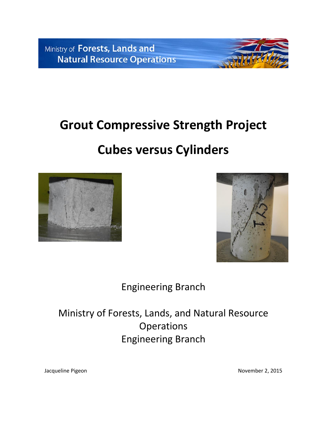Ministry of Forests, Lands and **Natural Resource Operations** 

## **Grout Compressive Strength Project**

# **Cubes versus Cylinders**





Engineering Branch

Ministry of Forests, Lands, and Natural Resource **Operations** Engineering Branch

Jacqueline Pigeon November 2, 2015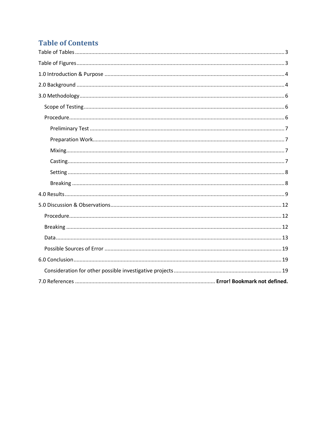### **Table of Contents**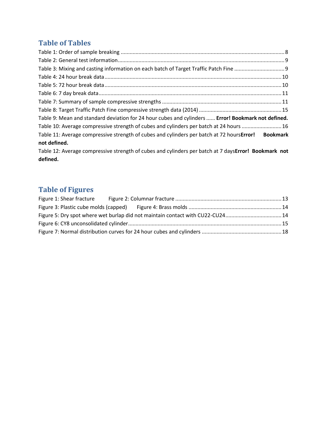### <span id="page-2-0"></span>**Table of Tables**

| Table 9: Mean and standard deviation for 24 hour cubes and cylinders  Error! Bookmark not defined.  |  |
|-----------------------------------------------------------------------------------------------------|--|
| Table 10: Average compressive strength of cubes and cylinders per batch at 24 hours 16              |  |
| Table 11: Average compressive strength of cubes and cylinders per batch at 72 hours Error! Bookmark |  |
| not defined.                                                                                        |  |
|                                                                                                     |  |

Table 12: Average compressive strength of cubes and cylinders per batch at 7 days**Error! Bookmark not defined.**

## <span id="page-2-1"></span>**Table of Figures**

|  | Figure 5: Dry spot where wet burlap did not maintain contact with CU22-CU2414 |  |
|--|-------------------------------------------------------------------------------|--|
|  |                                                                               |  |
|  |                                                                               |  |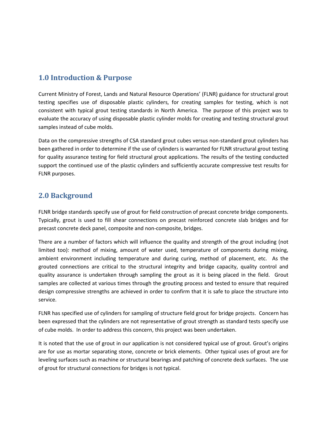### <span id="page-3-0"></span>**1.0 Introduction & Purpose**

Current Ministry of Forest, Lands and Natural Resource Operations' (FLNR) guidance for structural grout testing specifies use of disposable plastic cylinders, for creating samples for testing, which is not consistent with typical grout testing standards in North America. The purpose of this project was to evaluate the accuracy of using disposable plastic cylinder molds for creating and testing structural grout samples instead of cube molds.

Data on the compressive strengths of CSA standard grout cubes versus non-standard grout cylinders has been gathered in order to determine if the use of cylinders is warranted for FLNR structural grout testing for quality assurance testing for field structural grout applications. The results of the testing conducted support the continued use of the plastic cylinders and sufficiently accurate compressive test results for FLNR purposes.

### <span id="page-3-1"></span>**2.0 Background**

FLNR bridge standards specify use of grout for field construction of precast concrete bridge components. Typically, grout is used to fill shear connections on precast reinforced concrete slab bridges and for precast concrete deck panel, composite and non-composite, bridges.

There are a number of factors which will influence the quality and strength of the grout including (not limited too): method of mixing, amount of water used, temperature of components during mixing, ambient environment including temperature and during curing, method of placement, etc. As the grouted connections are critical to the structural integrity and bridge capacity, quality control and quality assurance is undertaken through sampling the grout as it is being placed in the field. Grout samples are collected at various times through the grouting process and tested to ensure that required design compressive strengths are achieved in order to confirm that it is safe to place the structure into service.

FLNR has specified use of cylinders for sampling of structure field grout for bridge projects. Concern has been expressed that the cylinders are not representative of grout strength as standard tests specify use of cube molds. In order to address this concern, this project was been undertaken.

It is noted that the use of grout in our application is not considered typical use of grout. Grout's origins are for use as mortar separating stone, concrete or brick elements. Other typical uses of grout are for leveling surfaces such as machine or structural bearings and patching of concrete deck surfaces. The use of grout for structural connections for bridges is not typical.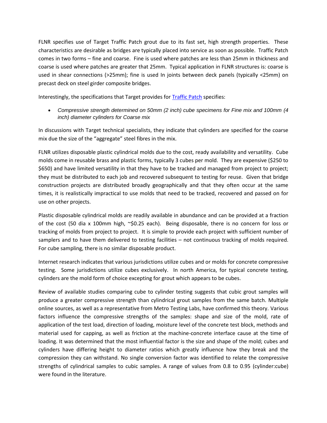FLNR specifies use of Target Traffic Patch grout due to its fast set, high strength properties. These characteristics are desirable as bridges are typically placed into service as soon as possible. Traffic Patch comes in two forms – fine and coarse. Fine is used where patches are less than 25mm in thickness and coarse is used where patches are greater that 25mm. Typical application in FLNR structures is: coarse is used in shear connections (>25mm); fine is used In joints between deck panels (typically <25mm) on precast deck on steel girder composite bridges.

Interestingly, the specifications that Target provides for [Traffic Patch](http://www.targetproducts.com/UserContent/SpecSheets/trafficpatch.pdf) specifies:

 *Compressive strength determined on 50mm (2 inch) cube specimens for Fine mix and 100mm (4 inch) diameter cylinders for Coarse mix*

In discussions with Target technical specialists, they indicate that cylinders are specified for the coarse mix due the size of the "aggregate" steel fibres in the mix.

FLNR utilizes disposable plastic cylindrical molds due to the cost, ready availability and versatility. Cube molds come in reusable brass and plastic forms, typically 3 cubes per mold. They are expensive (\$250 to \$650) and have limited versatility in that they have to be tracked and managed from project to project; they must be distributed to each job and recovered subsequent to testing for reuse. Given that bridge construction projects are distributed broadly geographically and that they often occur at the same times, it is realistically impractical to use molds that need to be tracked, recovered and passed on for use on other projects.

Plastic disposable cylindrical molds are readily available in abundance and can be provided at a fraction of the cost (50 dia x 100mm high, ~\$0.25 each). Being disposable, there is no concern for loss or tracking of molds from project to project. It is simple to provide each project with sufficient number of samplers and to have them delivered to testing facilities – not continuous tracking of molds required. For cube sampling, there is no similar disposable product.

Internet research indicates that various jurisdictions utilize cubes and or molds for concrete compressive testing. Some jurisdictions utilize cubes exclusively. In north America, for typical concrete testing, cylinders are the mold form of choice excepting for grout which appears to be cubes.

Review of available studies comparing cube to cylinder testing suggests that cubic grout samples will produce a greater compressive strength than cylindrical grout samples from the same batch. Multiple online sources, as well as a representative from Metro Testing Labs, have confirmed this theory. Various factors influence the compressive strengths of the samples: shape and size of the mold, rate of application of the test load, direction of loading, moisture level of the concrete test block, methods and material used for capping, as well as friction at the machine-concrete interface cause at the time of loading. It was determined that the most influential factor is the size and shape of the mold; cubes and cylinders have differing height to diameter ratios which greatly influence how they break and the compression they can withstand. No single conversion factor was identified to relate the compressive strengths of cylindrical samples to cubic samples. A range of values from 0.8 to 0.95 (cylinder:cube) were found in the literature.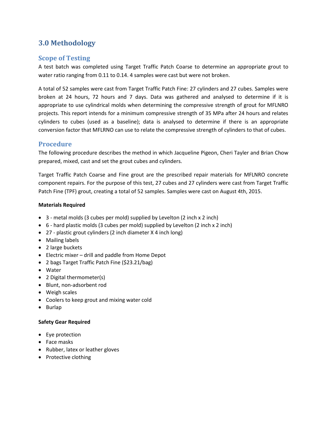### <span id="page-5-0"></span>**3.0 Methodology**

### <span id="page-5-1"></span>**Scope of Testing**

A test batch was completed using Target Traffic Patch Coarse to determine an appropriate grout to water ratio ranging from 0.11 to 0.14. 4 samples were cast but were not broken.

A total of 52 samples were cast from Target Traffic Patch Fine: 27 cylinders and 27 cubes. Samples were broken at 24 hours, 72 hours and 7 days. Data was gathered and analysed to determine if it is appropriate to use cylindrical molds when determining the compressive strength of grout for MFLNRO projects. This report intends for a minimum compressive strength of 35 MPa after 24 hours and relates cylinders to cubes (used as a baseline); data is analysed to determine if there is an appropriate conversion factor that MFLRNO can use to relate the compressive strength of cylinders to that of cubes.

### <span id="page-5-2"></span>**Procedure**

The following procedure describes the method in which Jacqueline Pigeon, Cheri Tayler and Brian Chow prepared, mixed, cast and set the grout cubes and cylinders.

Target Traffic Patch Coarse and Fine grout are the prescribed repair materials for MFLNRO concrete component repairs. For the purpose of this test, 27 cubes and 27 cylinders were cast from Target Traffic Patch Fine (TPF) grout, creating a total of 52 samples. Samples were cast on August 4th, 2015.

#### **Materials Required**

- 3 metal molds (3 cubes per mold) supplied by Levelton (2 inch x 2 inch)
- 6 hard plastic molds (3 cubes per mold) supplied by Levelton (2 inch x 2 inch)
- 27 plastic grout cylinders (2 inch diameter X 4 inch long)
- Mailing labels
- 2 large buckets
- Electric mixer drill and paddle from Home Depot
- 2 bags Target Traffic Patch Fine (\$23.21/bag)
- Water
- 2 Digital thermometer(s)
- Blunt, non-adsorbent rod
- Weigh scales
- Coolers to keep grout and mixing water cold
- Burlap

#### **Safety Gear Required**

- Eye protection
- Face masks
- Rubber, latex or leather gloves
- Protective clothing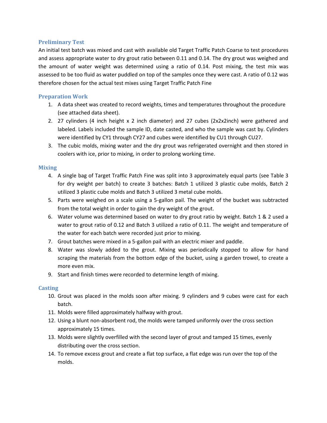#### <span id="page-6-0"></span>**Preliminary Test**

An initial test batch was mixed and cast with available old Target Traffic Patch Coarse to test procedures and assess appropriate water to dry grout ratio between 0.11 and 0.14. The dry grout was weighed and the amount of water weight was determined using a ratio of 0.14. Post mixing, the test mix was assessed to be too fluid as water puddled on top of the samples once they were cast. A ratio of 0.12 was therefore chosen for the actual test mixes using Target Traffic Patch Fine

#### <span id="page-6-1"></span>**Preparation Work**

- 1. A data sheet was created to record weights, times and temperatures throughout the procedure (see attached data sheet).
- 2. 27 cylinders (4 inch height x 2 inch diameter) and 27 cubes (2x2x2inch) were gathered and labeled. Labels included the sample ID, date casted, and who the sample was cast by. Cylinders were identified by CY1 through CY27 and cubes were identified by CU1 through CU27.
- 3. The cubic molds, mixing water and the dry grout was refrigerated overnight and then stored in coolers with ice, prior to mixing, in order to prolong working time.

#### <span id="page-6-2"></span>**Mixing**

- 4. A single bag of Target Traffic Patch Fine was split into 3 approximately equal parts (see Table 3 for dry weight per batch) to create 3 batches: Batch 1 utilized 3 plastic cube molds, Batch 2 utilized 3 plastic cube molds and Batch 3 utilized 3 metal cube molds.
- 5. Parts were weighed on a scale using a 5-gallon pail. The weight of the bucket was subtracted from the total weight in order to gain the dry weight of the grout.
- 6. Water volume was determined based on water to dry grout ratio by weight. Batch 1 & 2 used a water to grout ratio of 0.12 and Batch 3 utilized a ratio of 0.11. The weight and temperature of the water for each batch were recorded just prior to mixing.
- 7. Grout batches were mixed in a 5-gallon pail with an electric mixer and paddle.
- 8. Water was slowly added to the grout. Mixing was periodically stopped to allow for hand scraping the materials from the bottom edge of the bucket, using a garden trowel, to create a more even mix.
- 9. Start and finish times were recorded to determine length of mixing.

#### <span id="page-6-3"></span>**Casting**

- 10. Grout was placed in the molds soon after mixing. 9 cylinders and 9 cubes were cast for each batch.
- 11. Molds were filled approximately halfway with grout.
- 12. Using a blunt non-absorbent rod, the molds were tamped uniformly over the cross section approximately 15 times.
- 13. Molds were slightly overfilled with the second layer of grout and tamped 15 times, evenly distributing over the cross section.
- 14. To remove excess grout and create a flat top surface, a flat edge was run over the top of the molds.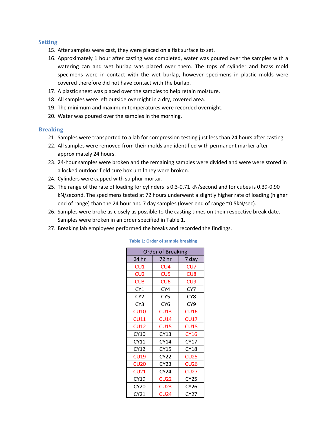#### <span id="page-7-0"></span>**Setting**

- 15. After samples were cast, they were placed on a flat surface to set.
- 16. Approximately 1 hour after casting was completed, water was poured over the samples with a watering can and wet burlap was placed over them. The tops of cylinder and brass mold specimens were in contact with the wet burlap, however specimens in plastic molds were covered therefore did not have contact with the burlap.
- 17. A plastic sheet was placed over the samples to help retain moisture.
- 18. All samples were left outside overnight in a dry, covered area.
- 19. The minimum and maximum temperatures were recorded overnight.
- 20. Water was poured over the samples in the morning.

#### <span id="page-7-1"></span>**Breaking**

- 21. Samples were transported to a lab for compression testing just less than 24 hours after casting.
- 22. All samples were removed from their molds and identified with permanent marker after approximately 24 hours.
- 23. 24-hour samples were broken and the remaining samples were divided and were were stored in a locked outdoor field cure box until they were broken.
- 24. Cylinders were capped with sulphur mortar.
- 25. The range of the rate of loading for cylinders is 0.3-0.71 kN/second and for cubes is 0.39-0.90 kN/second. The specimens tested at 72 hours underwent a slightly higher rate of loading (higher end of range) than the 24 hour and 7 day samples (lower end of range ~0.5kN/sec).
- 26. Samples were broke as closely as possible to the casting times on their respective break date. Samples were broken in an order specified in Table 1.
- <span id="page-7-2"></span>27. Breaking lab employees performed the breaks and recorded the findings.

| <b>Order of Breaking</b> |                 |                 |  |  |  |  |  |  |
|--------------------------|-----------------|-----------------|--|--|--|--|--|--|
| 24 hr                    | 72 hr           | 7 day           |  |  |  |  |  |  |
| CU1                      | CU <sub>4</sub> | CU7             |  |  |  |  |  |  |
| CU <sub>2</sub>          | CU <sub>5</sub> | CU <sub>8</sub> |  |  |  |  |  |  |
| CU <sub>3</sub>          | CU <sub>6</sub> | CU <sub>9</sub> |  |  |  |  |  |  |
| CY1                      | CY4             | CY7             |  |  |  |  |  |  |
| CY <sub>2</sub>          | CY <sub>5</sub> | CY <sub>8</sub> |  |  |  |  |  |  |
| CY <sub>3</sub>          | CY <sub>6</sub> | CY <sub>9</sub> |  |  |  |  |  |  |
| CU10                     | CU13            | CU16            |  |  |  |  |  |  |
| CU11                     | <b>CU14</b>     | <b>CU17</b>     |  |  |  |  |  |  |
| <b>CU12</b>              | <b>CU15</b>     | <b>CU18</b>     |  |  |  |  |  |  |
| CY10                     | CY13            | <b>CY16</b>     |  |  |  |  |  |  |
| CY11                     | CY14            | <b>CY17</b>     |  |  |  |  |  |  |
| CY12                     | <b>CY15</b>     | <b>CY18</b>     |  |  |  |  |  |  |
| <b>CU19</b>              | CY22            | <b>CU25</b>     |  |  |  |  |  |  |
| <b>CU20</b>              | <b>CY23</b>     | <b>CU26</b>     |  |  |  |  |  |  |
| CU21                     | <b>CY24</b>     | <b>CU27</b>     |  |  |  |  |  |  |
| CY19                     | CU22            | <b>CY25</b>     |  |  |  |  |  |  |
| <b>CY20</b>              | <b>CU23</b>     | CY26            |  |  |  |  |  |  |
| CY21                     | CU24            | CY27            |  |  |  |  |  |  |

#### **Table 1: Order of sample breaking**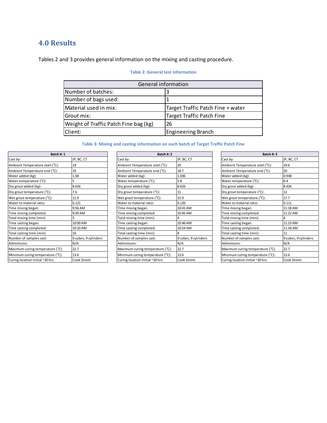### <span id="page-8-0"></span>**4.0 Results**

<span id="page-8-1"></span>Tables 2 and 3 provides general information on the mixing and casting procedure.

#### **Table 2: General test information**

| General information                   |                                   |  |  |  |  |  |
|---------------------------------------|-----------------------------------|--|--|--|--|--|
| Number of batches:                    |                                   |  |  |  |  |  |
| Number of bags used:                  |                                   |  |  |  |  |  |
| Material used in mix:                 | Target Traffic Patch Fine + water |  |  |  |  |  |
| Grout mix:                            | <b>Target Traffic Patch Fine</b>  |  |  |  |  |  |
| Weight of Traffic Patch Fine bag (kg) | 26                                |  |  |  |  |  |
| Client:                               | <b>Engineering Branch</b>         |  |  |  |  |  |

#### **Table 3: Mixing and casting information on each batch of Target Traffic Patch Fine**

<span id="page-8-2"></span>

| Batch #: 1                            |                      | Batch #: 2                            |                      | Batch #: 3                       |                      |  |
|---------------------------------------|----------------------|---------------------------------------|----------------------|----------------------------------|----------------------|--|
| Cast by:                              | JP, BC, CT           | Cast by:                              | JP, BC, CT           | Cast by:                         | JP, BC, CT           |  |
| Ambient Temperature start (°C):       | 19                   | Ambient Temperature start (°C):       | 20                   | Ambient Temperature start (°C):  | 19.6                 |  |
| Ambient Temperature end (°C):         | 19                   | Ambient Temperature end (°C):         | 18.7                 | Ambient Temperature end (°C):    | 20                   |  |
| Water added (kg):                     | 1.04                 | Water added (kg):                     | 1.036                | Water added (kg):                | 0.938                |  |
| Water temperature (°C):               |                      | Water temperature (°C):               | 5.8                  | Water temperature (°C):          | 6.4                  |  |
| Dry grout added (kg):                 | 8.626                | Dry grout added (kg):                 | 8.626                | Dry grout added (kg):            | 8.426                |  |
| Dry grout temperature (°C):           | 7.6                  | Dry grout temperature (°C):           | 11                   | Dry grout temperature (°C):      | 12                   |  |
| Wet grout temperature $(^{\circ}C)$ : | 11.9                 | Wet grout temperature $(^{\circ}C)$ : | 15.9                 | Wet grout temperature (°C):      | 17.7                 |  |
| Water to material ratio:              | 0.121                | Water to material ratio:              | 0.120                | Water to material ratio:         | 0.111                |  |
| Time mixing began:                    | 9:56 AM              | Time mixing began:                    | 10:41 AM             | Time mixing began:               | 11:18 AM             |  |
| Time mixing completed:                | 9:59 AM              | Time mixing completed:                | 10:45 AM             | Time mixing completed:           | 11:22 AM             |  |
| Total mixing time (min):              |                      | Total mixing time (min):              |                      | Total mixing time (min):         |                      |  |
| Time casting began:                   | 10:00 AM             | Time casting began:                   | 10:46 AM             | Time casting began:              | 11:23 AM             |  |
| Time casting completed:               | 10:10 AM             | Time casting completed:               | 10:54 AM             | Time casting completed:          | 11:34 AM             |  |
| Total casting time (min):             | 10                   | Total casting time (min):             |                      | Total casting time (min):        |                      |  |
| Number of samples cast:               | 9 cubes, 9 cylinders | Number of samples cast:               | 9 cubes, 9 cylinders | Number of samples cast:          | 9 cubes, 9 cylinders |  |
| Admixtures:                           | N/A                  | Admixtures:                           | N/A                  | Admixtures:                      | N/A                  |  |
| Maximum curing temperature (°C):      | 22.7                 | Maximum curing temperature (°C):      | 22.7                 | Maximum curing temperature (°C): | 22.7                 |  |
| Minimum curing temperature (°C):      | 13.6                 | Minimum curing temperature (°C):      | 13.6                 | Minimum curing temperature (°C): | 13.6                 |  |
| Curing location initial ~20 hrs:      | Cook Street          | Curing location initial ~20 hrs:      | Cook Street          | Curing location initial ~20 hrs: | Cook Street          |  |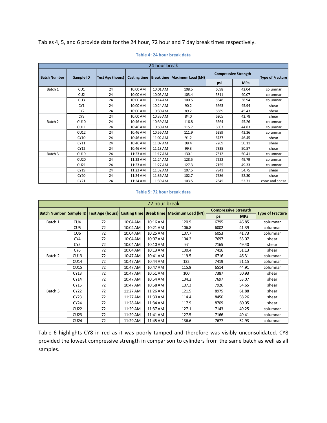Tables 4, 5, and 6 provide data for the 24 hour, 72 hour and 7 day break times respectively.

<span id="page-9-0"></span>

| 24 hour break       |                 |                  |                     |          |                                |                             |                         |                |  |  |
|---------------------|-----------------|------------------|---------------------|----------|--------------------------------|-----------------------------|-------------------------|----------------|--|--|
| <b>Batch Number</b> | Sample ID       | Test Age (hours) | <b>Casting time</b> |          | Break time   Maximum Load (kN) | <b>Compressive Strength</b> | <b>Type of Fracture</b> |                |  |  |
|                     |                 |                  |                     |          |                                | psi                         | <b>MPa</b>              |                |  |  |
| Batch 1             | CU1             | 24               | 10:00 AM            | 10:01 AM | 108.5                          | 6098                        | 42.04                   | columnar       |  |  |
|                     | CU <sub>2</sub> | 24               | 10:00 AM            | 10:05 AM | 103.4                          | 5811                        | 40.07                   | columnar       |  |  |
|                     | CU3             | 24               | 10:00 AM            | 10:14 AM | 100.5                          | 5648                        | 38.94                   | columnar       |  |  |
|                     | CY <sub>1</sub> | 24               | 10:00 AM            | 10:24 AM | 90.2                           | 6663                        | 45.94                   | shear          |  |  |
|                     | CY <sub>2</sub> | 24               | 10:00 AM            | 10:30 AM | 89.2                           | 6589                        | 45.43                   | shear          |  |  |
|                     | CY <sub>3</sub> | 24               | 10:00 AM            | 10:35 AM | 84.0                           | 6205                        | 42.78                   | shear          |  |  |
| Batch 2             | CU10            | 24               | 10:46 AM            | 10:39 AM | 116.8                          | 6564                        | 45.26                   | columnar       |  |  |
|                     | CU11            | 24               | 10:46 AM            | 10:50 AM | 115.7                          | 6503                        | 44.83                   | columnar       |  |  |
|                     | <b>CU12</b>     | 24               | 10:46 AM            | 10:56 AM | 111.9                          | 6289                        | 43.36                   | columnar       |  |  |
|                     | CY10            | 24               | 10:46 AM            | 11:02 AM | 91.2                           | 6737                        | 46.45                   | shear          |  |  |
|                     | CY11            | 24               | 10:46 AM            | 11:07 AM | 98.4                           | 7269                        | 50.11                   | shear          |  |  |
|                     | CY12            | 24               | 10:46 AM            | 11:13 AM | 99.3                           | 7335                        | 50.57                   | shear          |  |  |
| Batch 3             | <b>CU19</b>     | 24               | 11:23 AM            | 11:17 AM | 130.1                          | 7312                        | 50.41                   | columnar       |  |  |
|                     | CU20            | 24               | 11:23 AM            | 11:24 AM | 128.5                          | 7222                        | 49.79                   | columnar       |  |  |
|                     | CU21            | 24               | 11:23 AM            | 11:27 AM | 127.3                          | 7155                        | 49.33                   | columnar       |  |  |
|                     | CY19            | 24               | 11:23 AM            | 11:32 AM | 107.5                          | 7941                        | 54.75                   | shear          |  |  |
|                     | <b>CY20</b>     | 24               | 11:24 AM            | 11:36 AM | 102.7                          | 7586                        | 52.30                   | shear          |  |  |
|                     | CY21            | 24               | 11:24 AM            | 11:39 AM | 103.5                          | 7645                        | 52.71                   | cone and shear |  |  |

#### **Table 4: 24 hour break data**

#### **Table 5: 72 hour break data**

<span id="page-9-1"></span>

|         | 72 hour break   |    |          |          |                                                                                   |                             |            |                         |  |  |  |
|---------|-----------------|----|----------|----------|-----------------------------------------------------------------------------------|-----------------------------|------------|-------------------------|--|--|--|
|         |                 |    |          |          | Batch Number Sample ID Test Age (hours) Casting time Break time Maximum Load (kN) | <b>Compressive Strength</b> |            |                         |  |  |  |
|         |                 |    |          |          |                                                                                   | psi                         | <b>MPa</b> | <b>Type of Fracture</b> |  |  |  |
| Batch 1 | CU4             | 72 | 10:04 AM | 10:16 AM | 120.9                                                                             | 6795                        | 46.85      | columnar                |  |  |  |
|         | CU <sub>5</sub> | 72 | 10:04 AM | 10:21 AM | 106.8                                                                             | 6002                        | 41.39      | columnar                |  |  |  |
|         | CU <sub>6</sub> | 72 | 10:04 AM | 10:25 AM | 107.7                                                                             | 6053                        | 41.73      | columnar                |  |  |  |
|         | CY4             | 72 | 10:04 AM | 10:07 AM | 104.2                                                                             | 7697                        | 53.07      | shear                   |  |  |  |
|         | CY <sub>5</sub> | 72 | 10:04 AM | 10:10 AM | 97                                                                                | 7165                        | 49.40      | shear                   |  |  |  |
|         | CY <sub>6</sub> | 72 | 10:04 AM | 10:13 AM | 100.4                                                                             | 7416                        | 51.13      | shear                   |  |  |  |
| Batch 2 | <b>CU13</b>     | 72 | 10:47 AM | 10:41 AM | 119.5                                                                             | 6716                        | 46.31      | columnar                |  |  |  |
|         | <b>CU14</b>     | 72 | 10:47 AM | 10:44 AM | 132                                                                               | 7419                        | 51.15      | columnar                |  |  |  |
|         | <b>CU15</b>     | 72 | 10:47 AM | 10:47 AM | 115.9                                                                             | 6514                        | 44.91      | columnar                |  |  |  |
|         | CY13            | 72 | 10:47 AM | 10:51 AM | 100                                                                               | 7387                        | 50.93      | shear                   |  |  |  |
|         | CY14            | 72 | 10:47 AM | 10:54 AM | 104.2                                                                             | 7697                        | 53.07      | shear                   |  |  |  |
|         | CY15            | 72 | 10:47 AM | 10:58 AM | 107.3                                                                             | 7926                        | 54.65      | shear                   |  |  |  |
| Batch 3 | CY22            | 72 | 11:27 AM | 11:26 AM | 121.5                                                                             | 8975                        | 61.88      | shear                   |  |  |  |
|         | CY23            | 72 | 11:27 AM | 11:30 AM | 114.4                                                                             | 8450                        | 58.26      | shear                   |  |  |  |
|         | <b>CY24</b>     | 72 | 11:28 AM | 11:34 AM | 117.9                                                                             | 8709                        | 60.05      | shear                   |  |  |  |
|         | <b>CU22</b>     | 72 | 11:29 AM | 11:37 AM | 127.1                                                                             | 7143                        | 49.25      | columnar                |  |  |  |
|         | CU23            | 72 | 11:29 AM | 11:41 AM | 127.5                                                                             | 7166                        | 49.41      | columnar                |  |  |  |
|         | <b>CU24</b>     | 72 | 11:29 AM | 11:45 AM | 136.6                                                                             | 7677                        | 52.93      | columnar                |  |  |  |

Table 6 highlights CY8 in red as it was poorly tamped and therefore was visibly unconsolidated. CY8 provided the lowest compressive strength in comparison to cylinders from the same batch as well as all samples.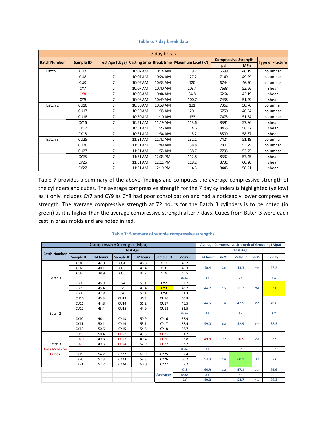<span id="page-10-0"></span>

|                     | 7 day break     |                |          |          |                                                               |                             |            |                         |  |  |
|---------------------|-----------------|----------------|----------|----------|---------------------------------------------------------------|-----------------------------|------------|-------------------------|--|--|
| <b>Batch Number</b> | Sample ID       |                |          |          | Test Age (days) Casting time   Break time   Maximum Load (kN) | <b>Compressive Strength</b> |            |                         |  |  |
|                     |                 |                |          |          |                                                               | psi                         | <b>MPa</b> | <b>Type of Fracture</b> |  |  |
| Batch 1             | CU <sub>7</sub> | 7              | 10:07 AM | 10:14 AM | 119.2                                                         | 6699                        | 46.19      | columnar                |  |  |
|                     | CU <sub>8</sub> | 7              | 10:07 AM | 10:24 AM | 127.2                                                         | 7149                        | 49.29      | columnar                |  |  |
|                     | CU <sub>9</sub> | 7              | 10:07 AM | 10:33 AM | 120                                                           | 6744                        | 46.50      | columnar                |  |  |
|                     | CY7             | 7              | 10:07 AM | 10:40 AM | 103.4                                                         | 7638                        | 52.66      | shear                   |  |  |
|                     | CY <sub>8</sub> | 7              | 10:08 AM | 10:44 AM | 84.8                                                          | 6264                        | 43.19      | shear                   |  |  |
|                     | CY <sub>9</sub> | 7              | 10:08 AM | 10:49 AM | 100.7                                                         | 7438                        | 51.29      | shear                   |  |  |
| Batch 2             | CU16            | $\overline{7}$ | 10:50 AM | 10:58 AM | 131                                                           | 7362                        | 50.76      | columnar                |  |  |
|                     | <b>CU17</b>     | 7              | 10:50 AM | 11:05 AM | 120.1                                                         | 6750                        | 46.54      | columnar                |  |  |
|                     | <b>CU18</b>     | 7              | 10:50 AM | 11:10 AM | 133                                                           | 7475                        | 51.54      | columnar                |  |  |
|                     | CY16            | 7              | 10:51 AM | 11:19 AM | 113.6                                                         | 8391                        | 57.86      | shear                   |  |  |
|                     | CY17            | 7              | 10:51 AM | 11:26 AM | 114.6                                                         | 8465                        | 58.37      | shear                   |  |  |
|                     | <b>CY18</b>     | 7              | 10:51 AM | 11:34 AM | 115.2                                                         | 8509                        | 58.67      | shear                   |  |  |
| Batch 3             | CU25            | 7              | 11:31 AM | 11:42 AM | 132.1                                                         | 7424                        | 51.19      | columnar                |  |  |
|                     | CU26            | $\overline{7}$ | 11:31 AM | 11:49 AM | 138.8                                                         | 7801                        | 53.79      | columnar                |  |  |
|                     | <b>CU27</b>     | 7              | 11:31 AM | 11:55 AM | 138.7                                                         | 7795                        | 53.75      | columnar                |  |  |
|                     | <b>CY25</b>     | 7              | 11:31 AM | 12:03 PM | 112.8                                                         | 8332                        | 57.45      | shear                   |  |  |
|                     | CY26            | 7              | 11:31 AM | 12:11 PM | 118.2                                                         | 8731                        | 60.20      | shear                   |  |  |
|                     | CY27            | 7              | 11:31 AM | 12:19 PM | 114.3                                                         | 8443                        | 58.21      | shear                   |  |  |

#### **Table 6: 7 day break data**

Table 7 provides a summary of the above findings and computes the average compressive strength of the cylinders and cubes. The average compressive strength for the 7 day cylinders is highlighted (yellow) as it only includes CY7 and CY9 as CY8 had poor consolidation and had a noticeably lower compressive strength. The average compressive strength at 72 hours for the Batch 3 cylinders is to be noted (in green) as it is higher than the average compressive strength after 7 days. Cubes from Batch 3 were each cast in brass molds and are noted in red.

<span id="page-10-1"></span>

|                        |                 |          | <b>Average Compressive Strength of Grouping (Mpa)</b> |          |                 |                 |         |              |         |              |       |      |  |  |  |  |
|------------------------|-----------------|----------|-------------------------------------------------------|----------|-----------------|-----------------|---------|--------------|---------|--------------|-------|------|--|--|--|--|
| <b>Batch Number</b>    |                 |          |                                                       |          |                 | <b>Test Age</b> |         |              |         |              |       |      |  |  |  |  |
|                        | Sample ID       | 24 hours | Sample ID                                             | 72 hours | Sample ID       | 7 days          | 24 hour | <b>Delta</b> | 72 hour | <b>Delta</b> | 7 day |      |  |  |  |  |
|                        | CU1             | 42.0     | CU4                                                   | 46.8     | CU <sub>7</sub> | 46.2            |         |              |         |              |       |      |  |  |  |  |
|                        | CU <sub>2</sub> | 40.1     | CU <sub>5</sub>                                       | 41.4     | CU <sub>8</sub> | 49.3            | 40.4    |              | 3.0     | 43.3         | 4.0   | 47.3 |  |  |  |  |
|                        | CU3             | 38.9     | CU6                                                   | 41.7     | CU <sub>9</sub> | 46.5            |         |              |         |              |       |      |  |  |  |  |
| Batch 1                |                 |          |                                                       |          |                 | Delta           | 4.4     |              | 7.9     |              | 4.6   |      |  |  |  |  |
|                        | CY1             | 45.9     | CY4                                                   | 53.1     | CY7             | 52.7            |         |              |         |              |       |      |  |  |  |  |
|                        | CY <sub>2</sub> | 45.4     | CY <sub>5</sub>                                       | 49.4     | CY <sub>8</sub> | 43.2            | 44.7    | 6.5          | 51.2    | 0.8          | 52.0  |      |  |  |  |  |
|                        | CY3             | 42.8     | CY <sub>6</sub>                                       | 51.1     | CY <sub>9</sub> | 51.3            |         |              |         |              |       |      |  |  |  |  |
|                        | <b>CU10</b>     | 45.3     | <b>CU13</b>                                           | 46.3     | <b>CU16</b>     | 50.8            |         |              |         |              |       |      |  |  |  |  |
|                        | <b>CU11</b>     | 44.8     | <b>CU14</b>                                           | 51.2     | <b>CU17</b>     | 46.5            | 44.5    | 3.0          | 47.5    | 2.2          | 49.6  |      |  |  |  |  |
|                        | <b>CU12</b>     | 43.4     | <b>CU15</b>                                           | 44.9     | <b>CU18</b>     | 51.5            |         |              |         |              |       |      |  |  |  |  |
| Batch 2                |                 |          |                                                       |          |                 | Delta           | 4.6     |              | 5.4     |              | 8.7   |      |  |  |  |  |
|                        | CY10            | 46.4     | CY13                                                  | 50.9     | CY16            | 57.9            |         |              |         | 5.4          | 58.3  |      |  |  |  |  |
|                        | CY11            | 50.1     | CY14                                                  | 53.1     | CY17            | 58.4            | 49.0    | 3.8          | 52.9    |              |       |      |  |  |  |  |
|                        | CY12            | 50.6     | <b>CY15</b>                                           | 54.6     | <b>CY18</b>     | 58.7            |         |              |         |              |       |      |  |  |  |  |
|                        | <b>CU19</b>     | 50.4     | <b>CU22</b>                                           | 49.3     | <b>CU25</b>     | 51.2            |         |              |         |              |       |      |  |  |  |  |
|                        | <b>CU20</b>     | 49.8     | <b>CU23</b>                                           | 49.4     | <b>CU26</b>     | 53.8            | 49.8    | 0.7          | 50.5    | 2.4          | 52.9  |      |  |  |  |  |
| Batch <sub>3</sub>     | <b>CU21</b>     | 49.3     | <b>CU24</b>                                           | 52.9     | <b>CU27</b>     | 53.7            |         |              |         |              |       |      |  |  |  |  |
| <b>Brass Molds for</b> |                 |          |                                                       |          |                 | Delta           | 3.4     |              | 9.5     |              | 5.7   |      |  |  |  |  |
| <b>Cubes</b>           | CY19            | 54.7     | <b>CY22</b>                                           | 61.9     | <b>CY25</b>     | 57.4            |         |              |         |              |       |      |  |  |  |  |
|                        | CY20            | 52.3     | CY23                                                  | 58.3     | CY26            | 60.2            | 53.3    | 6.8          | 60.1    | $-1.4$       | 58.6  |      |  |  |  |  |
|                        | CY21            | 52.7     | CY24                                                  | 60.0     | CY27            | 58.2            |         |              |         |              |       |      |  |  |  |  |
|                        |                 |          |                                                       |          |                 | <b>CU</b>       | 44.9    | 2.2          | 47.1    | 2.8          | 49.9  |      |  |  |  |  |
|                        |                 |          |                                                       |          | <b>Averages</b> | Delta           | 4.1     |              | 7.6     |              | 6.3   |      |  |  |  |  |
|                        |                 |          |                                                       |          |                 | <b>CY</b>       | 49.0    | 5.7          | 54.7    | 1.6          | 56.3  |      |  |  |  |  |

#### **Table 7: Summary of sample compressive strengths**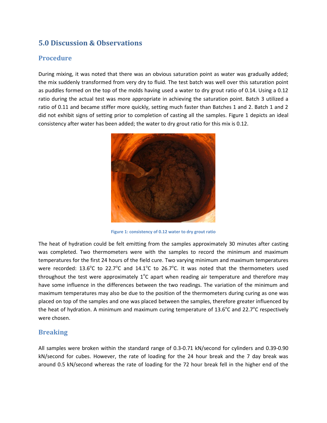### <span id="page-11-0"></span>**5.0 Discussion & Observations**

### <span id="page-11-1"></span>**Procedure**

During mixing, it was noted that there was an obvious saturation point as water was gradually added; the mix suddenly transformed from very dry to fluid. The test batch was well over this saturation point as puddles formed on the top of the molds having used a water to dry grout ratio of 0.14. Using a 0.12 ratio during the actual test was more appropriate in achieving the saturation point. Batch 3 utilized a ratio of 0.11 and became stiffer more quickly, setting much faster than Batches 1 and 2. Batch 1 and 2 did not exhibit signs of setting prior to completion of casting all the samples. Figure 1 depicts an ideal consistency after water has been added; the water to dry grout ratio for this mix is 0.12.



**Figure 1: consistency of 0.12 water to dry grout ratio** 

The heat of hydration could be felt emitting from the samples approximately 30 minutes after casting was completed. Two thermometers were with the samples to record the minimum and maximum temperatures for the first 24 hours of the field cure. Two varying minimum and maximum temperatures were recorded: 13.6°C to 22.7°C and 14.1°C to 26.7°C. It was noted that the thermometers used throughout the test were approximately  $1^{\circ}$ C apart when reading air temperature and therefore may have some influence in the differences between the two readings. The variation of the minimum and maximum temperatures may also be due to the position of the thermometers during curing as one was placed on top of the samples and one was placed between the samples, therefore greater influenced by the heat of hydration. A minimum and maximum curing temperature of 13.6 $^{\circ}$ C and 22.7 $^{\circ}$ C respectively were chosen.

### <span id="page-11-2"></span>**Breaking**

All samples were broken within the standard range of 0.3-0.71 kN/second for cylinders and 0.39-0.90 kN/second for cubes. However, the rate of loading for the 24 hour break and the 7 day break was around 0.5 kN/second whereas the rate of loading for the 72 hour break fell in the higher end of the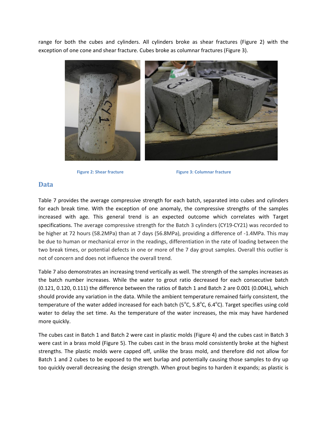range for both the cubes and cylinders. All cylinders broke as shear fractures (Figure 2) with the exception of one cone and shear fracture. Cubes broke as columnar fractures (Figure 3).



**Figure 2: Shear fracture Figure 3: Columnar fracture** 

#### <span id="page-12-1"></span><span id="page-12-0"></span>**Data**

Table 7 provides the average compressive strength for each batch, separated into cubes and cylinders for each break time. With the exception of one anomaly, the compressive strengths of the samples increased with age. This general trend is an expected outcome which correlates with Target specifications. The average compressive strength for the Batch 3 cylinders (CY19-CY21) was recorded to be higher at 72 hours (58.2MPa) than at 7 days (56.8MPa), providing a difference of -1.4MPa. This may be due to human or mechanical error in the readings, differentiation in the rate of loading between the two break times, or potential defects in one or more of the 7 day grout samples. Overall this outlier is not of concern and does not influence the overall trend.

Table 7 also demonstrates an increasing trend vertically as well. The strength of the samples increases as the batch number increases. While the water to grout ratio decreased for each consecutive batch (0.121, 0.120, 0.111) the difference between the ratios of Batch 1 and Batch 2 are 0.001 (0.004L), which should provide any variation in the data. While the ambient temperature remained fairly consistent, the temperature of the water added increased for each batch (5 $^{\circ}$ C, 5.8 $^{\circ}$ C, 6.4 $^{\circ}$ C). Target specifies using cold water to delay the set time. As the temperature of the water increases, the mix may have hardened more quickly.

The cubes cast in Batch 1 and Batch 2 were cast in plastic molds (Figure 4) and the cubes cast in Batch 3 were cast in a brass mold (Figure 5). The cubes cast in the brass mold consistently broke at the highest strengths. The plastic molds were capped off, unlike the brass mold, and therefore did not allow for Batch 1 and 2 cubes to be exposed to the wet burlap and potentially causing those samples to dry up too quickly overall decreasing the design strength. When grout begins to harden it expands; as plastic is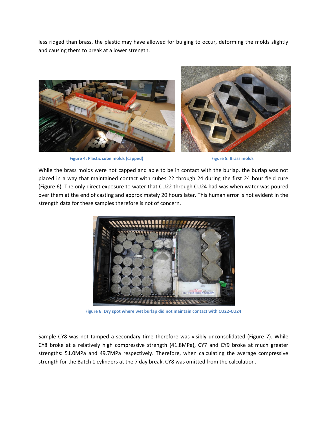less ridged than brass, the plastic may have allowed for bulging to occur, deforming the molds slightly and causing them to break at a lower strength.



**Figure 4: Plastic cube molds (capped) Figure 5: Brass molds** 



<span id="page-13-0"></span>While the brass molds were not capped and able to be in contact with the burlap, the burlap was not placed in a way that maintained contact with cubes 22 through 24 during the first 24 hour field cure (Figure 6). The only direct exposure to water that CU22 through CU24 had was when water was poured over them at the end of casting and approximately 20 hours later. This human error is not evident in the strength data for these samples therefore is not of concern.



**Figure 6: Dry spot where wet burlap did not maintain contact with CU22-CU24**

<span id="page-13-1"></span>Sample CY8 was not tamped a secondary time therefore was visibly unconsolidated (Figure 7). While CY8 broke at a relatively high compressive strength (41.8MPa), CY7 and CY9 broke at much greater strengths: 51.0MPa and 49.7MPa respectively. Therefore, when calculating the average compressive strength for the Batch 1 cylinders at the 7 day break, CY8 was omitted from the calculation.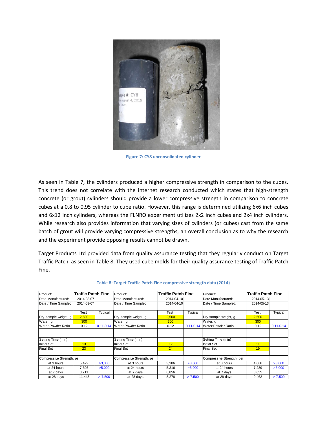

**Figure 7: CY8 unconsolidated cylinder**

<span id="page-14-1"></span>As seen in Table 7, the cylinders produced a higher compressive strength in comparison to the cubes. This trend does not correlate with the internet research conducted which states that high-strength concrete (or grout) cylinders should provide a lower compressive strength in comparison to concrete cubes at a 0.8 to 0.95 cylinder to cube ratio. However, this range is determined utilizing 6x6 inch cubes and 6x12 inch cylinders, whereas the FLNRO experiment utilizes 2x2 inch cubes and 2x4 inch cylinders. While research also provides information that varying sizes of cylinders (or cubes) cast from the same batch of grout will provide varying compressive strengths, an overall conclusion as to why the research and the experiment provide opposing results cannot be drawn.

Target Products Ltd provided data from quality assurance testing that they regularly conduct on Target Traffic Patch, as seen in Table 8. They used cube molds for their quality assurance testing of Traffic Patch Fine.

<span id="page-14-0"></span>

| Product:                  | <b>Traffic Patch Fine</b> |               | Product:                  | <b>Traffic Patch Fine</b> |                | Product:                  | <b>Traffic Patch Fine</b> |               |
|---------------------------|---------------------------|---------------|---------------------------|---------------------------|----------------|---------------------------|---------------------------|---------------|
| Date Manufactured:        | 2014-03-07                |               | Date Manufactured:        | 2014-04-10                |                | Date Manufactured:        | 2014-05-13                |               |
| Date / Time Sampled:      | 2014-03-07                |               | Date / Time Sampled:      | 2014-04-10                |                | Date / Time Sampled:      | 2014-05-13                |               |
|                           |                           |               |                           |                           |                |                           |                           |               |
|                           | Test                      | Typical       |                           | Test                      | <b>Typical</b> |                           | Test                      | Typical       |
| Dry sample weight, g      | 2,500                     |               | Dry sample weight, g      | 2,500                     |                | Dry sample weight, g      | 2,500                     |               |
| Water, g                  | 300                       |               | Water, g                  | 300                       |                | Water, g                  | 300                       |               |
| Water: Powder Ratio       | 0.12                      | $0.11 - 0.14$ | <b>Water:Powder Ratio</b> | 0.12                      | $0.11 - 0.14$  | Water:Powder Ratio        | 0.12                      | $0.11 - 0.14$ |
|                           |                           |               |                           |                           |                |                           |                           |               |
| Setting Time (min)        |                           |               | Setting Time (min)        |                           |                | Setting Time (min)        |                           |               |
| <b>Initial Set</b>        | 13                        |               | <b>Initial Set</b>        | 12                        |                | <b>Initial Set</b>        | 11                        |               |
| <b>Final Set</b>          | 23                        |               | <b>Final Set</b>          | 24                        |                | <b>Final Set</b>          | 19                        |               |
|                           |                           |               |                           |                           |                |                           |                           |               |
| Compressive Strength, psi |                           |               | Compressive Strength, psi |                           |                | Compressive Strength, psi |                           |               |
| at 3 hours                | 5,472                     | >3,000        | at 3 hours                | 3,286                     | >3,000         | at 3 hours                | 4,666                     | >3,000        |
| at 24 hours               | 7,396                     | >5,000        | at 24 hours               | 5,316                     | >5,000         | at 24 hours               | 7,289                     | >5,000        |
| at 7 days                 | 8,711                     |               | at 7 days                 | 6,856                     |                | at 7 days                 | 8,655                     |               |
| at 28 days                | 11,448                    | > 7,500       | at 28 days                | 8,278                     | > 7,500        | at 28 days                | 9,462                     | > 7,500       |

#### **Table 8: Target Traffic Patch Fine compressive strength data (2014)**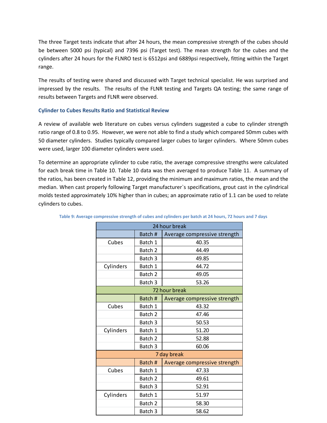The three Target tests indicate that after 24 hours, the mean compressive strength of the cubes should be between 5000 psi (typical) and 7396 psi (Target test). The mean strength for the cubes and the cylinders after 24 hours for the FLNRO test is 6512psi and 6889psi respectively, fitting within the Target range.

The results of testing were shared and discussed with Target technical specialist. He was surprised and impressed by the results. The results of the FLNR testing and Targets QA testing; the same range of results between Targets and FLNR were observed.

#### **Cylinder to Cubes Results Ratio and Statistical Review**

A review of available web literature on cubes versus cylinders suggested a cube to cylinder strength ratio range of 0.8 to 0.95. However, we were not able to find a study which compared 50mm cubes with 50 diameter cylinders. Studies typically compared larger cubes to larger cylinders. Where 50mm cubes were used, larger 100 diameter cylinders were used.

To determine an appropriate cylinder to cube ratio, the average compressive strengths were calculated for each break time in Table 10. Table 10 data was then averaged to produce Table 11. A summary of the ratios, has been created in Table 12, providing the minimum and maximum ratios, the mean and the median. When cast properly following Target manufacturer`s specifications, grout cast in the cylindrical molds tested approximately 10% higher than in cubes; an approximate ratio of 1.1 can be used to relate cylinders to cubes.

| 24 hour break |                    |                              |  |  |  |  |  |
|---------------|--------------------|------------------------------|--|--|--|--|--|
|               | Batch #            | Average compressive strength |  |  |  |  |  |
| Cubes         | Batch 1            | 40.35                        |  |  |  |  |  |
|               | Batch 2            | 44.49                        |  |  |  |  |  |
|               | Batch 3            | 49.85                        |  |  |  |  |  |
| Cylinders     | Batch 1            | 44.72                        |  |  |  |  |  |
|               | Batch <sub>2</sub> | 49.05                        |  |  |  |  |  |
|               | Batch 3            | 53.26                        |  |  |  |  |  |
|               |                    | 72 hour break                |  |  |  |  |  |
|               | Batch#             | Average compressive strength |  |  |  |  |  |
| Cubes         | Batch 1            | 43.32                        |  |  |  |  |  |
|               | Batch <sub>2</sub> | 47.46                        |  |  |  |  |  |
|               | Batch 3            | 50.53                        |  |  |  |  |  |
| Cylinders     | Batch 1            | 51.20                        |  |  |  |  |  |
|               | Batch <sub>2</sub> | 52.88                        |  |  |  |  |  |
|               | Batch 3            | 60.06                        |  |  |  |  |  |
|               |                    | 7 day break                  |  |  |  |  |  |
|               | Batch#             | Average compressive strength |  |  |  |  |  |
| Cubes         | Batch 1            | 47.33                        |  |  |  |  |  |
|               | Batch 2            | 49.61                        |  |  |  |  |  |
|               | Batch 3            | 52.91                        |  |  |  |  |  |
| Cylinders     | Batch 1            | 51.97                        |  |  |  |  |  |
|               | Batch <sub>2</sub> | 58.30                        |  |  |  |  |  |
|               | Batch 3            | 58.62                        |  |  |  |  |  |

<span id="page-15-0"></span>

|  | Table 9: Average compressive strength of cubes and cylinders per batch at 24 hours, 72 hours and 7 days |  |  |  |
|--|---------------------------------------------------------------------------------------------------------|--|--|--|
|  |                                                                                                         |  |  |  |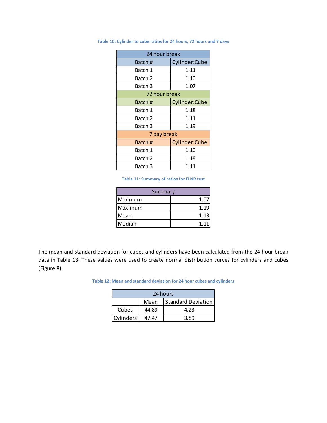| 24 hour break |               |  |  |  |
|---------------|---------------|--|--|--|
| Batch #       | Cylinder:Cube |  |  |  |
| Batch 1       | 1.11          |  |  |  |
| Batch 2       | 1.10          |  |  |  |
| Batch 3       | 1.07          |  |  |  |
| 72 hour break |               |  |  |  |
| Batch#        | Cylinder:Cube |  |  |  |
| Batch 1       | 1.18          |  |  |  |
| Batch 2       | 1.11          |  |  |  |
| Batch 3       | 1.19          |  |  |  |
| 7 day break   |               |  |  |  |
| Batch #       | Cylinder:Cube |  |  |  |
| Batch 1       | 1.10          |  |  |  |
| Batch 2       | 1.18          |  |  |  |
| Batch 3       | 1.11          |  |  |  |

**Table 10: Cylinder to cube ratios for 24 hours, 72 hours and 7 days**

**Table 11: Summary of ratios for FLNR test**

| Summary |             |  |  |  |
|---------|-------------|--|--|--|
| Minimum | $1.0^\circ$ |  |  |  |
| Maximum | 1.19        |  |  |  |
| Mean    | 1.13        |  |  |  |
| Median  | 1.11        |  |  |  |

The mean and standard deviation for cubes and cylinders have been calculated from the 24 hour break data in Table 13. These values were used to create normal distribution curves for cylinders and cubes (Figure 8).

**Table 12: Mean and standard deviation for 24 hour cubes and cylinders**

| 24 hours  |       |                           |  |  |  |  |
|-----------|-------|---------------------------|--|--|--|--|
|           | Mean  | <b>Standard Deviation</b> |  |  |  |  |
| Cubes     | 44.89 | 4.23                      |  |  |  |  |
| Cylinders | 47.47 | 3 RY                      |  |  |  |  |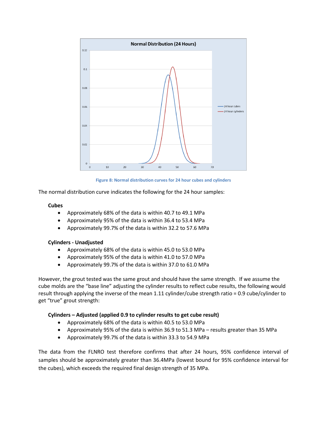

**Figure 8: Normal distribution curves for 24 hour cubes and cylinders**

<span id="page-17-0"></span>The normal distribution curve indicates the following for the 24 hour samples:

#### **Cubes**

- Approximately 68% of the data is within 40.7 to 49.1 MPa
- Approximately 95% of the data is within 36.4 to 53.4 MPa
- Approximately 99.7% of the data is within 32.2 to 57.6 MPa

#### **Cylinders - Unadjusted**

- Approximately 68% of the data is within 45.0 to 53.0 MPa
- Approximately 95% of the data is within 41.0 to 57.0 MPa
- Approximately 99.7% of the data is within 37.0 to 61.0 MPa

However, the grout tested was the same grout and should have the same strength. If we assume the cube molds are the "base line" adjusting the cylinder results to reflect cube results, the following would result through applying the inverse of the mean 1.11 cylinder/cube strength ratio = 0.9 cube/cylinder to get "true" grout strength:

#### **Cylinders – Adjusted (applied 0.9 to cylinder results to get cube result)**

- Approximately 68% of the data is within 40.5 to 53.0 MPa
- Approximately 95% of the data is within 36.9 to 51.3 MPa results greater than 35 MPa
- Approximately 99.7% of the data is within 33.3 to 54.9 MPa

The data from the FLNRO test therefore confirms that after 24 hours, 95% confidence interval of samples should be approximately greater than 36.4MPa (lowest bound for 95% confidence interval for the cubes), which exceeds the required final design strength of 35 MPa.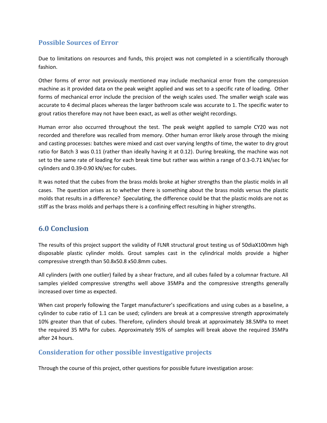### <span id="page-18-0"></span>**Possible Sources of Error**

Due to limitations on resources and funds, this project was not completed in a scientifically thorough fashion.

Other forms of error not previously mentioned may include mechanical error from the compression machine as it provided data on the peak weight applied and was set to a specific rate of loading. Other forms of mechanical error include the precision of the weigh scales used. The smaller weigh scale was accurate to 4 decimal places whereas the larger bathroom scale was accurate to 1. The specific water to grout ratios therefore may not have been exact, as well as other weight recordings.

Human error also occurred throughout the test. The peak weight applied to sample CY20 was not recorded and therefore was recalled from memory. Other human error likely arose through the mixing and casting processes: batches were mixed and cast over varying lengths of time, the water to dry grout ratio for Batch 3 was 0.11 (rather than ideally having it at 0.12). During breaking, the machine was not set to the same rate of loading for each break time but rather was within a range of 0.3-0.71 kN/sec for cylinders and 0.39-0.90 kN/sec for cubes.

<span id="page-18-1"></span>It was noted that the cubes from the brass molds broke at higher strengths than the plastic molds in all cases. The question arises as to whether there is something about the brass molds versus the plastic molds that results in a difference? Speculating, the difference could be that the plastic molds are not as stiff as the brass molds and perhaps there is a confining effect resulting in higher strengths.

### **6.0 Conclusion**

The results of this project support the validity of FLNR structural grout testing us of 50diaX100mm high disposable plastic cylinder molds. Grout samples cast in the cylindrical molds provide a higher compressive strength than 50.8x50.8 x50.8mm cubes.

All cylinders (with one outlier) failed by a shear fracture, and all cubes failed by a columnar fracture. All samples yielded compressive strengths well above 35MPa and the compressive strengths generally increased over time as expected.

When cast properly following the Target manufacturer's specifications and using cubes as a baseline, a cylinder to cube ratio of 1.1 can be used; cylinders are break at a compressive strength approximately 10% greater than that of cubes. Therefore, cylinders should break at approximately 38.5MPa to meet the required 35 MPa for cubes. Approximately 95% of samples will break above the required 35MPa after 24 hours.

### <span id="page-18-2"></span>**Consideration for other possible investigative projects**

Through the course of this project, other questions for possible future investigation arose: